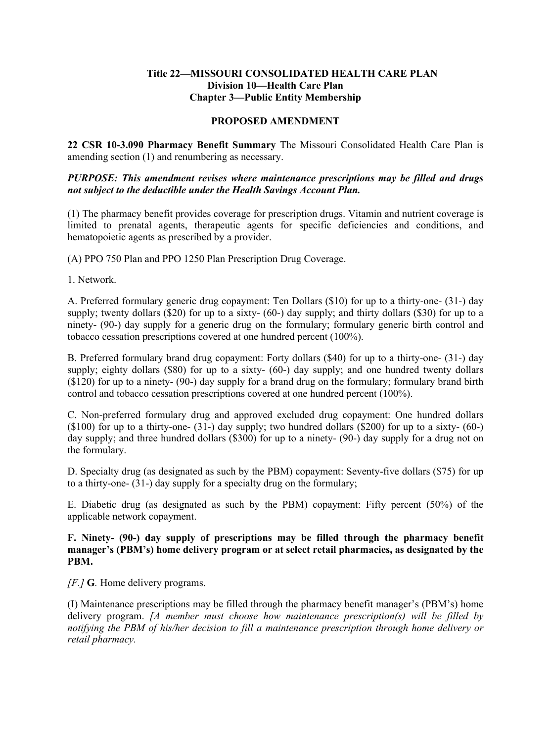#### **Title 22—MISSOURI CONSOLIDATED HEALTH CARE PLAN Division 10—Health Care Plan Chapter 3—Public Entity Membership**

## **PROPOSED AMENDMENT**

**22 CSR 10-3.090 Pharmacy Benefit Summary** The Missouri Consolidated Health Care Plan is amending section (1) and renumbering as necessary.

### *PURPOSE: This amendment revises where maintenance prescriptions may be filled and drugs not subject to the deductible under the Health Savings Account Plan.*

(1) The pharmacy benefit provides coverage for prescription drugs. Vitamin and nutrient coverage is limited to prenatal agents, therapeutic agents for specific deficiencies and conditions, and hematopoietic agents as prescribed by a provider.

(A) PPO 750 Plan and PPO 1250 Plan Prescription Drug Coverage.

1. Network.

A. Preferred formulary generic drug copayment: Ten Dollars (\$10) for up to a thirty-one- (31-) day supply; twenty dollars  $(\$20)$  for up to a sixty-  $(60-)$  day supply; and thirty dollars  $(\$30)$  for up to a ninety- (90-) day supply for a generic drug on the formulary; formulary generic birth control and tobacco cessation prescriptions covered at one hundred percent (100%).

B. Preferred formulary brand drug copayment: Forty dollars (\$40) for up to a thirty-one- (31-) day supply; eighty dollars (\$80) for up to a sixty- (60-) day supply; and one hundred twenty dollars (\$120) for up to a ninety- (90-) day supply for a brand drug on the formulary; formulary brand birth control and tobacco cessation prescriptions covered at one hundred percent (100%).

C. Non-preferred formulary drug and approved excluded drug copayment: One hundred dollars  $($100)$  for up to a thirty-one-  $(31-)$  day supply; two hundred dollars  $($200)$  for up to a sixty-  $(60-)$ day supply; and three hundred dollars (\$300) for up to a ninety- (90-) day supply for a drug not on the formulary.

D. Specialty drug (as designated as such by the PBM) copayment: Seventy-five dollars (\$75) for up to a thirty-one- (31-) day supply for a specialty drug on the formulary;

E. Diabetic drug (as designated as such by the PBM) copayment: Fifty percent (50%) of the applicable network copayment.

**F. Ninety- (90-) day supply of prescriptions may be filled through the pharmacy benefit manager's (PBM's) home delivery program or at select retail pharmacies, as designated by the PBM.**

*[F.]* **G***.* Home delivery programs.

(I) Maintenance prescriptions may be filled through the pharmacy benefit manager's (PBM's) home delivery program. *[A member must choose how maintenance prescription(s) will be filled by notifying the PBM of his/her decision to fill a maintenance prescription through home delivery or retail pharmacy.*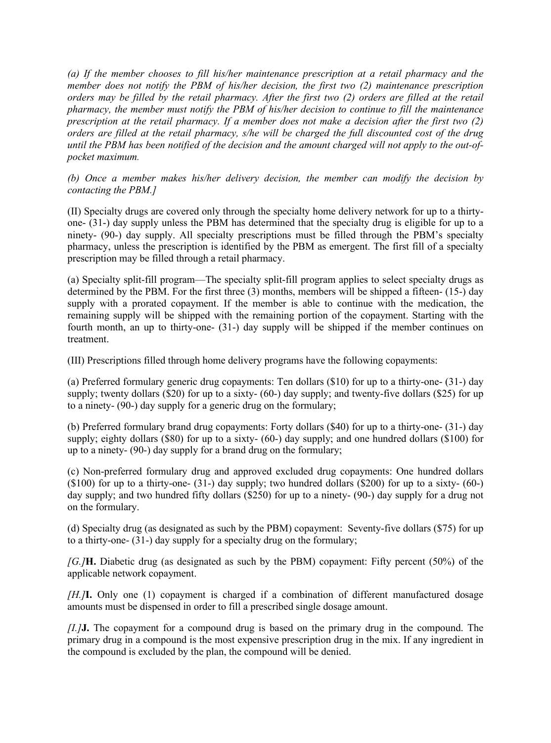*(a) If the member chooses to fill his/her maintenance prescription at a retail pharmacy and the member does not notify the PBM of his/her decision, the first two (2) maintenance prescription orders may be filled by the retail pharmacy. After the first two (2) orders are filled at the retail pharmacy, the member must notify the PBM of his/her decision to continue to fill the maintenance prescription at the retail pharmacy. If a member does not make a decision after the first two (2) orders are filled at the retail pharmacy, s/he will be charged the full discounted cost of the drug until the PBM has been notified of the decision and the amount charged will not apply to the out-ofpocket maximum.*

*(b) Once a member makes his/her delivery decision, the member can modify the decision by contacting the PBM.]*

(II) Specialty drugs are covered only through the specialty home delivery network for up to a thirtyone- (31-) day supply unless the PBM has determined that the specialty drug is eligible for up to a ninety- (90-) day supply. All specialty prescriptions must be filled through the PBM's specialty pharmacy, unless the prescription is identified by the PBM as emergent. The first fill of a specialty prescription may be filled through a retail pharmacy.

(a) Specialty split-fill program—The specialty split-fill program applies to select specialty drugs as determined by the PBM. For the first three (3) months, members will be shipped a fifteen- (15-) day supply with a prorated copayment. If the member is able to continue with the medication, the remaining supply will be shipped with the remaining portion of the copayment. Starting with the fourth month, an up to thirty-one- (31-) day supply will be shipped if the member continues on treatment.

(III) Prescriptions filled through home delivery programs have the following copayments:

(a) Preferred formulary generic drug copayments: Ten dollars (\$10) for up to a thirty-one- (31-) day supply; twenty dollars  $(\$20)$  for up to a sixty- $(60-)$  day supply; and twenty-five dollars  $(\$25)$  for up to a ninety- (90-) day supply for a generic drug on the formulary;

(b) Preferred formulary brand drug copayments: Forty dollars (\$40) for up to a thirty-one- (31-) day supply; eighty dollars (\$80) for up to a sixty- (60-) day supply; and one hundred dollars (\$100) for up to a ninety- (90-) day supply for a brand drug on the formulary;

(c) Non-preferred formulary drug and approved excluded drug copayments: One hundred dollars  $($100)$  for up to a thirty-one-  $(31-)$  day supply; two hundred dollars  $($200)$  for up to a sixty-  $(60-)$ day supply; and two hundred fifty dollars (\$250) for up to a ninety- (90-) day supply for a drug not on the formulary.

(d) Specialty drug (as designated as such by the PBM) copayment: Seventy-five dollars (\$75) for up to a thirty-one- (31-) day supply for a specialty drug on the formulary;

*[G.]***H.** Diabetic drug (as designated as such by the PBM) copayment: Fifty percent (50%) of the applicable network copayment.

*[H.]***I.** Only one (1) copayment is charged if a combination of different manufactured dosage amounts must be dispensed in order to fill a prescribed single dosage amount.

*[I.]***J.** The copayment for a compound drug is based on the primary drug in the compound. The primary drug in a compound is the most expensive prescription drug in the mix. If any ingredient in the compound is excluded by the plan, the compound will be denied.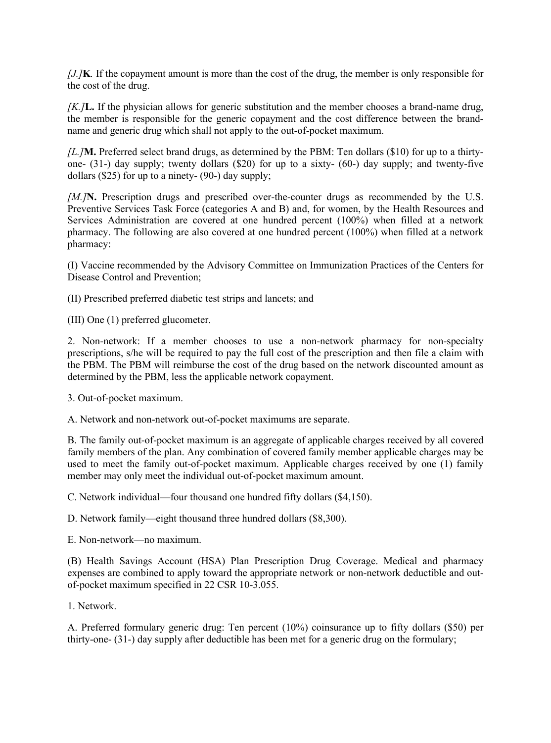*[J.]***K***.* If the copayment amount is more than the cost of the drug, the member is only responsible for the cost of the drug.

*[K.]***L.** If the physician allows for generic substitution and the member chooses a brand-name drug, the member is responsible for the generic copayment and the cost difference between the brandname and generic drug which shall not apply to the out-of-pocket maximum.

*[L.]***M.** Preferred select brand drugs, as determined by the PBM: Ten dollars (\$10) for up to a thirtyone- (31-) day supply; twenty dollars (\$20) for up to a sixty- (60-) day supply; and twenty-five dollars  $(\$25)$  for up to a ninety-  $(90-)$  day supply;

*[M.]***N.** Prescription drugs and prescribed over-the-counter drugs as recommended by the U.S. Preventive Services Task Force (categories A and B) and, for women, by the Health Resources and Services Administration are covered at one hundred percent (100%) when filled at a network pharmacy. The following are also covered at one hundred percent (100%) when filled at a network pharmacy:

(I) Vaccine recommended by the Advisory Committee on Immunization Practices of the Centers for Disease Control and Prevention;

(II) Prescribed preferred diabetic test strips and lancets; and

(III) One (1) preferred glucometer.

2. Non-network: If a member chooses to use a non-network pharmacy for non-specialty prescriptions, s/he will be required to pay the full cost of the prescription and then file a claim with the PBM. The PBM will reimburse the cost of the drug based on the network discounted amount as determined by the PBM, less the applicable network copayment.

3. Out-of-pocket maximum.

A. Network and non-network out-of-pocket maximums are separate.

B. The family out-of-pocket maximum is an aggregate of applicable charges received by all covered family members of the plan. Any combination of covered family member applicable charges may be used to meet the family out-of-pocket maximum. Applicable charges received by one (1) family member may only meet the individual out-of-pocket maximum amount.

C. Network individual—four thousand one hundred fifty dollars (\$4,150).

D. Network family—eight thousand three hundred dollars (\$8,300).

E. Non-network—no maximum.

(B) Health Savings Account (HSA) Plan Prescription Drug Coverage. Medical and pharmacy expenses are combined to apply toward the appropriate network or non-network deductible and outof-pocket maximum specified in 22 CSR 10-3.055.

1. Network.

A. Preferred formulary generic drug: Ten percent (10%) coinsurance up to fifty dollars (\$50) per thirty-one- (31-) day supply after deductible has been met for a generic drug on the formulary;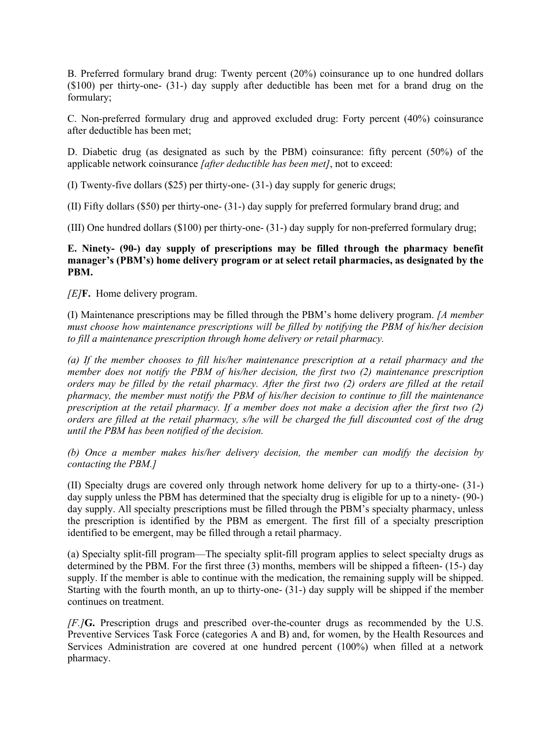B. Preferred formulary brand drug: Twenty percent (20%) coinsurance up to one hundred dollars (\$100) per thirty-one- (31-) day supply after deductible has been met for a brand drug on the formulary;

C. Non-preferred formulary drug and approved excluded drug: Forty percent (40%) coinsurance after deductible has been met;

D. Diabetic drug (as designated as such by the PBM) coinsurance: fifty percent (50%) of the applicable network coinsurance *[after deductible has been met]*, not to exceed:

(I) Twenty-five dollars (\$25) per thirty-one- (31-) day supply for generic drugs;

(II) Fifty dollars (\$50) per thirty-one- (31-) day supply for preferred formulary brand drug; and

(III) One hundred dollars (\$100) per thirty-one- (31-) day supply for non-preferred formulary drug;

## **E. Ninety- (90-) day supply of prescriptions may be filled through the pharmacy benefit manager's (PBM's) home delivery program or at select retail pharmacies, as designated by the PBM.**

*[E]***F.** Home delivery program.

(I) Maintenance prescriptions may be filled through the PBM's home delivery program. *[A member must choose how maintenance prescriptions will be filled by notifying the PBM of his/her decision to fill a maintenance prescription through home delivery or retail pharmacy.* 

*(a) If the member chooses to fill his/her maintenance prescription at a retail pharmacy and the member does not notify the PBM of his/her decision, the first two (2) maintenance prescription orders may be filled by the retail pharmacy. After the first two (2) orders are filled at the retail pharmacy, the member must notify the PBM of his/her decision to continue to fill the maintenance prescription at the retail pharmacy. If a member does not make a decision after the first two (2) orders are filled at the retail pharmacy, s/he will be charged the full discounted cost of the drug until the PBM has been notified of the decision.*

*(b) Once a member makes his/her delivery decision, the member can modify the decision by contacting the PBM.]*

(II) Specialty drugs are covered only through network home delivery for up to a thirty-one- (31-) day supply unless the PBM has determined that the specialty drug is eligible for up to a ninety- (90-) day supply. All specialty prescriptions must be filled through the PBM's specialty pharmacy, unless the prescription is identified by the PBM as emergent. The first fill of a specialty prescription identified to be emergent, may be filled through a retail pharmacy.

(a) Specialty split-fill program—The specialty split-fill program applies to select specialty drugs as determined by the PBM. For the first three (3) months, members will be shipped a fifteen- (15-) day supply. If the member is able to continue with the medication, the remaining supply will be shipped. Starting with the fourth month, an up to thirty-one- (31-) day supply will be shipped if the member continues on treatment.

*[F.]***G.** Prescription drugs and prescribed over-the-counter drugs as recommended by the U.S. Preventive Services Task Force (categories A and B) and, for women, by the Health Resources and Services Administration are covered at one hundred percent (100%) when filled at a network pharmacy.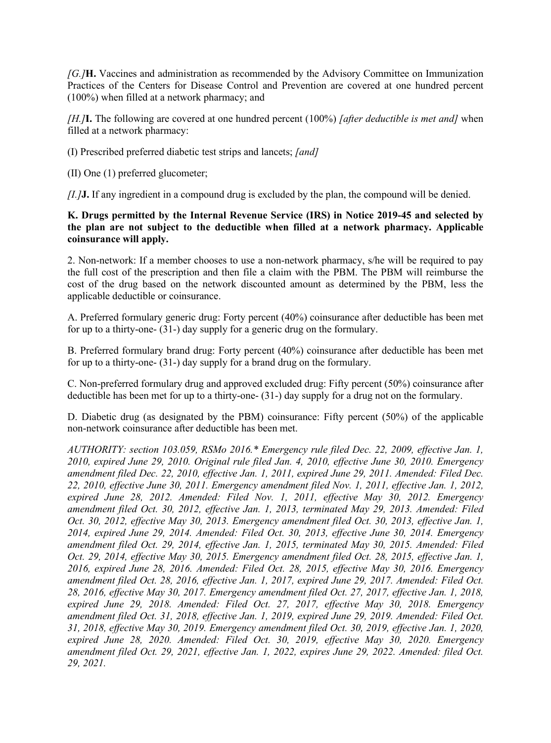*[G.]***H.** Vaccines and administration as recommended by the Advisory Committee on Immunization Practices of the Centers for Disease Control and Prevention are covered at one hundred percent (100%) when filled at a network pharmacy; and

*[H.]***I.** The following are covered at one hundred percent (100%) *[after deductible is met and]* when filled at a network pharmacy:

(I) Prescribed preferred diabetic test strips and lancets; *[and]*

(II) One (1) preferred glucometer;

*[I.]***J.** If any ingredient in a compound drug is excluded by the plan, the compound will be denied.

# **K. Drugs permitted by the Internal Revenue Service (IRS) in Notice 2019-45 and selected by the plan are not subject to the deductible when filled at a network pharmacy. Applicable coinsurance will apply.**

2. Non-network: If a member chooses to use a non-network pharmacy, s/he will be required to pay the full cost of the prescription and then file a claim with the PBM. The PBM will reimburse the cost of the drug based on the network discounted amount as determined by the PBM, less the applicable deductible or coinsurance.

A. Preferred formulary generic drug: Forty percent (40%) coinsurance after deductible has been met for up to a thirty-one- (31-) day supply for a generic drug on the formulary.

B. Preferred formulary brand drug: Forty percent (40%) coinsurance after deductible has been met for up to a thirty-one- (31-) day supply for a brand drug on the formulary.

C. Non-preferred formulary drug and approved excluded drug: Fifty percent (50%) coinsurance after deductible has been met for up to a thirty-one- (31-) day supply for a drug not on the formulary.

D. Diabetic drug (as designated by the PBM) coinsurance: Fifty percent (50%) of the applicable non-network coinsurance after deductible has been met.

*AUTHORITY: section 103.059, RSMo 2016.\* Emergency rule filed Dec. 22, 2009, effective Jan. 1, 2010, expired June 29, 2010. Original rule filed Jan. 4, 2010, effective June 30, 2010. Emergency amendment filed Dec. 22, 2010, effective Jan. 1, 2011, expired June 29, 2011. Amended: Filed Dec. 22, 2010, effective June 30, 2011. Emergency amendment filed Nov. 1, 2011, effective Jan. 1, 2012, expired June 28, 2012. Amended: Filed Nov. 1, 2011, effective May 30, 2012. Emergency amendment filed Oct. 30, 2012, effective Jan. 1, 2013, terminated May 29, 2013. Amended: Filed Oct. 30, 2012, effective May 30, 2013. Emergency amendment filed Oct. 30, 2013, effective Jan. 1, 2014, expired June 29, 2014. Amended: Filed Oct. 30, 2013, effective June 30, 2014. Emergency amendment filed Oct. 29, 2014, effective Jan. 1, 2015, terminated May 30, 2015. Amended: Filed Oct. 29, 2014, effective May 30, 2015. Emergency amendment filed Oct. 28, 2015, effective Jan. 1, 2016, expired June 28, 2016. Amended: Filed Oct. 28, 2015, effective May 30, 2016. Emergency amendment filed Oct. 28, 2016, effective Jan. 1, 2017, expired June 29, 2017. Amended: Filed Oct. 28, 2016, effective May 30, 2017. Emergency amendment filed Oct. 27, 2017, effective Jan. 1, 2018, expired June 29, 2018. Amended: Filed Oct. 27, 2017, effective May 30, 2018. Emergency amendment filed Oct. 31, 2018, effective Jan. 1, 2019, expired June 29, 2019. Amended: Filed Oct. 31, 2018, effective May 30, 2019. Emergency amendment filed Oct. 30, 2019, effective Jan. 1, 2020, expired June 28, 2020. Amended: Filed Oct. 30, 2019, effective May 30, 2020. Emergency amendment filed Oct. 29, 2021, effective Jan. 1, 2022, expires June 29, 2022. Amended: filed Oct. 29, 2021.*